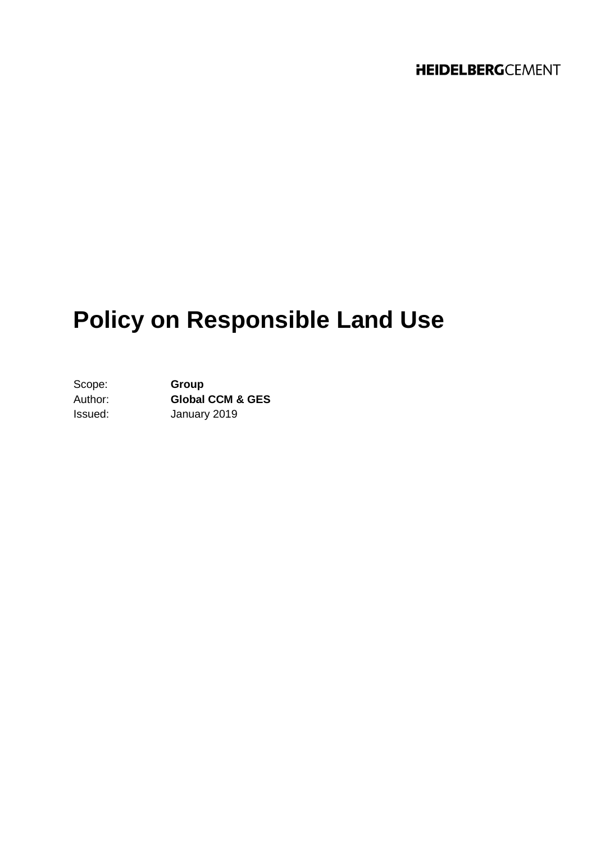# **Policy on Responsible Land Use**

Scope: **Group** Author: **Global CCM & GES** Issued: January 2019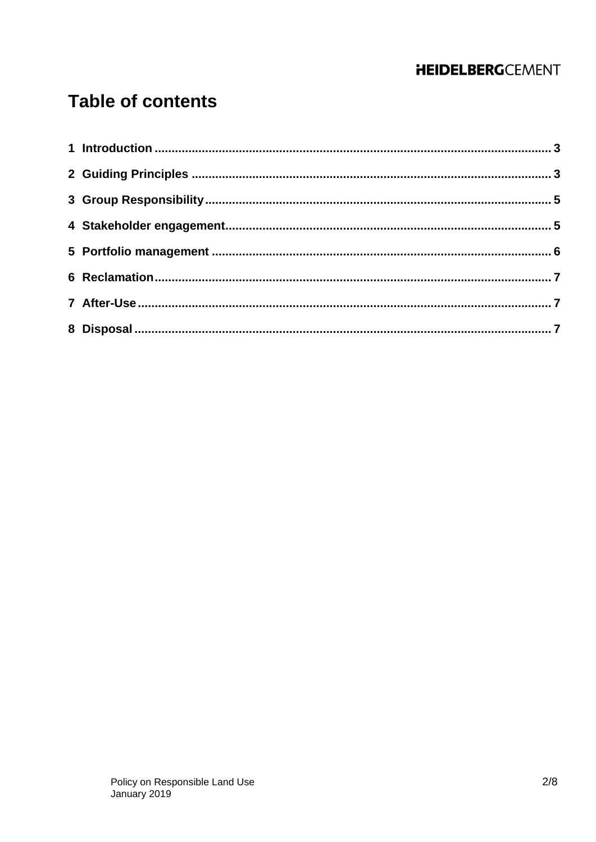## **Table of contents**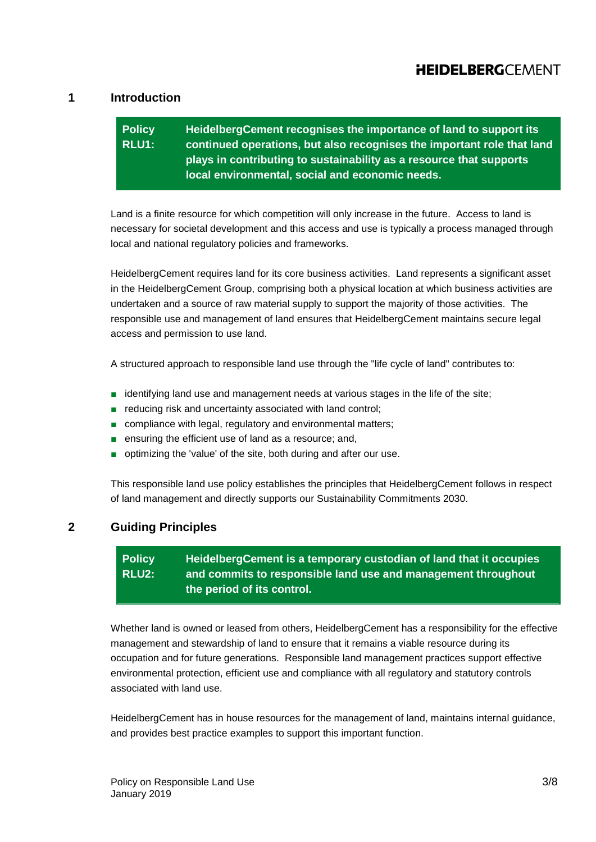### <span id="page-2-0"></span>**1 Introduction**

#### **Policy RLU1: HeidelbergCement recognises the importance of land to support its continued operations, but also recognises the important role that land plays in contributing to sustainability as a resource that supports local environmental, social and economic needs.**

Land is a finite resource for which competition will only increase in the future. Access to land is necessary for societal development and this access and use is typically a process managed through local and national regulatory policies and frameworks.

HeidelbergCement requires land for its core business activities. Land represents a significant asset in the HeidelbergCement Group, comprising both a physical location at which business activities are undertaken and a source of raw material supply to support the majority of those activities. The responsible use and management of land ensures that HeidelbergCement maintains secure legal access and permission to use land.

A structured approach to responsible land use through the "life cycle of land" contributes to:

- identifying land use and management needs at various stages in the life of the site;
- reducing risk and uncertainty associated with land control;
- compliance with legal, regulatory and environmental matters;
- ensuring the efficient use of land as a resource; and,
- optimizing the 'value' of the site, both during and after our use.

This responsible land use policy establishes the principles that HeidelbergCement follows in respect of land management and directly supports our Sustainability Commitments 2030.

### <span id="page-2-1"></span>**2 Guiding Principles**

#### **Policy RLU2: HeidelbergCement is a temporary custodian of land that it occupies and commits to responsible land use and management throughout the period of its control.**

Whether land is owned or leased from others, HeidelbergCement has a responsibility for the effective management and stewardship of land to ensure that it remains a viable resource during its occupation and for future generations. Responsible land management practices support effective environmental protection, efficient use and compliance with all regulatory and statutory controls associated with land use.

HeidelbergCement has in house resources for the management of land, maintains internal guidance, and provides best practice examples to support this important function.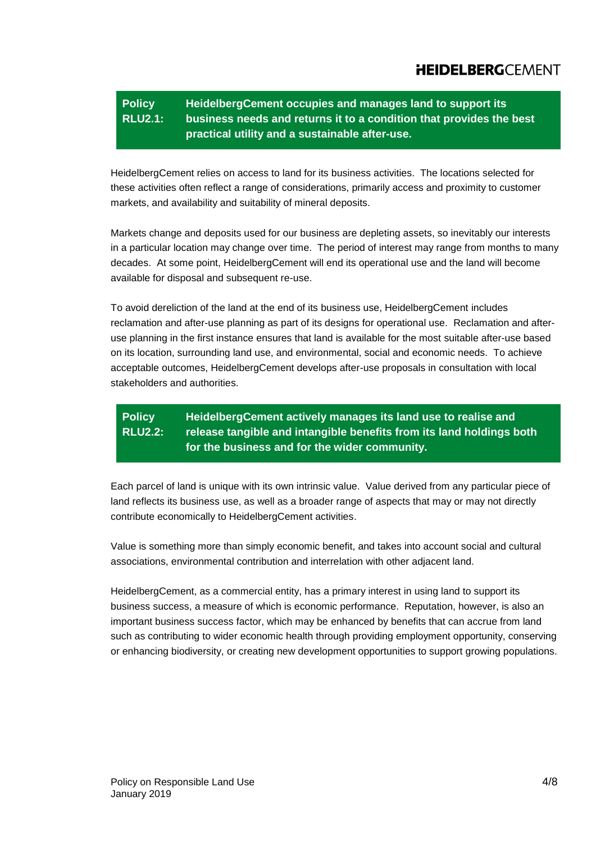#### **Policy RLU2.1: HeidelbergCement occupies and manages land to support its business needs and returns it to a condition that provides the best practical utility and a sustainable after-use.**

HeidelbergCement relies on access to land for its business activities. The locations selected for these activities often reflect a range of considerations, primarily access and proximity to customer markets, and availability and suitability of mineral deposits.

Markets change and deposits used for our business are depleting assets, so inevitably our interests in a particular location may change over time. The period of interest may range from months to many decades. At some point, HeidelbergCement will end its operational use and the land will become available for disposal and subsequent re-use.

To avoid dereliction of the land at the end of its business use, HeidelbergCement includes reclamation and after-use planning as part of its designs for operational use. Reclamation and afteruse planning in the first instance ensures that land is available for the most suitable after-use based on its location, surrounding land use, and environmental, social and economic needs. To achieve acceptable outcomes, HeidelbergCement develops after-use proposals in consultation with local stakeholders and authorities.

#### **Policy RLU2.2: HeidelbergCement actively manages its land use to realise and release tangible and intangible benefits from its land holdings both for the business and for the wider community.**

Each parcel of land is unique with its own intrinsic value. Value derived from any particular piece of land reflects its business use, as well as a broader range of aspects that may or may not directly contribute economically to HeidelbergCement activities.

Value is something more than simply economic benefit, and takes into account social and cultural associations, environmental contribution and interrelation with other adjacent land.

HeidelbergCement, as a commercial entity, has a primary interest in using land to support its business success, a measure of which is economic performance. Reputation, however, is also an important business success factor, which may be enhanced by benefits that can accrue from land such as contributing to wider economic health through providing employment opportunity, conserving or enhancing biodiversity, or creating new development opportunities to support growing populations.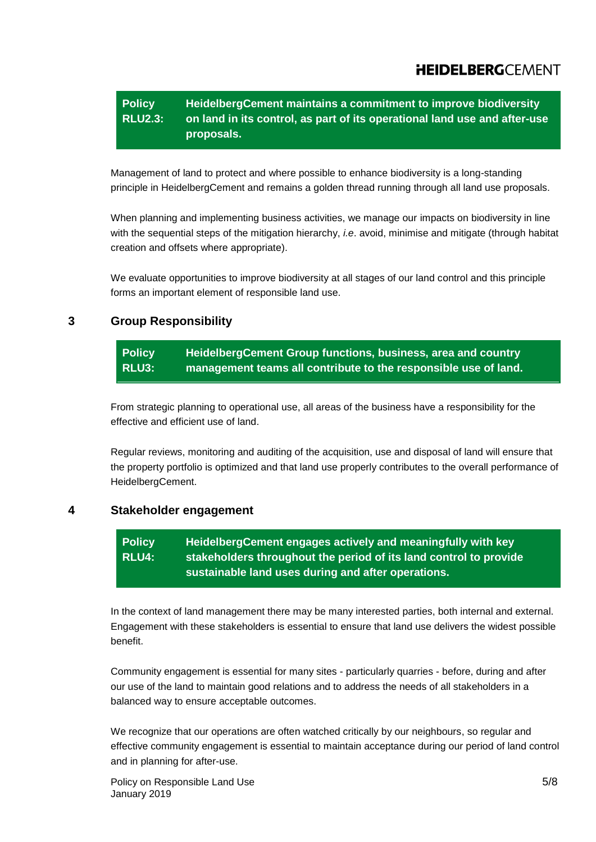#### **Policy RLU2.3: HeidelbergCement maintains a commitment to improve biodiversity on land in its control, as part of its operational land use and after-use proposals.**

Management of land to protect and where possible to enhance biodiversity is a long-standing principle in HeidelbergCement and remains a golden thread running through all land use proposals.

When planning and implementing business activities, we manage our impacts on biodiversity in line with the sequential steps of the mitigation hierarchy, *i.e*. avoid, minimise and mitigate (through habitat creation and offsets where appropriate).

We evaluate opportunities to improve biodiversity at all stages of our land control and this principle forms an important element of responsible land use.

## <span id="page-4-0"></span>**3 Group Responsibility**

#### **Policy RLU3: HeidelbergCement Group functions, business, area and country management teams all contribute to the responsible use of land.**

From strategic planning to operational use, all areas of the business have a responsibility for the effective and efficient use of land.

Regular reviews, monitoring and auditing of the acquisition, use and disposal of land will ensure that the property portfolio is optimized and that land use properly contributes to the overall performance of HeidelbergCement.

### <span id="page-4-1"></span>**4 Stakeholder engagement**

#### **Policy RLU4: HeidelbergCement engages actively and meaningfully with key stakeholders throughout the period of its land control to provide sustainable land uses during and after operations.**

In the context of land management there may be many interested parties, both internal and external. Engagement with these stakeholders is essential to ensure that land use delivers the widest possible benefit.

Community engagement is essential for many sites - particularly quarries - before, during and after our use of the land to maintain good relations and to address the needs of all stakeholders in a balanced way to ensure acceptable outcomes.

We recognize that our operations are often watched critically by our neighbours, so regular and effective community engagement is essential to maintain acceptance during our period of land control and in planning for after-use.

Policy on Responsible Land Use 5/8 January 2019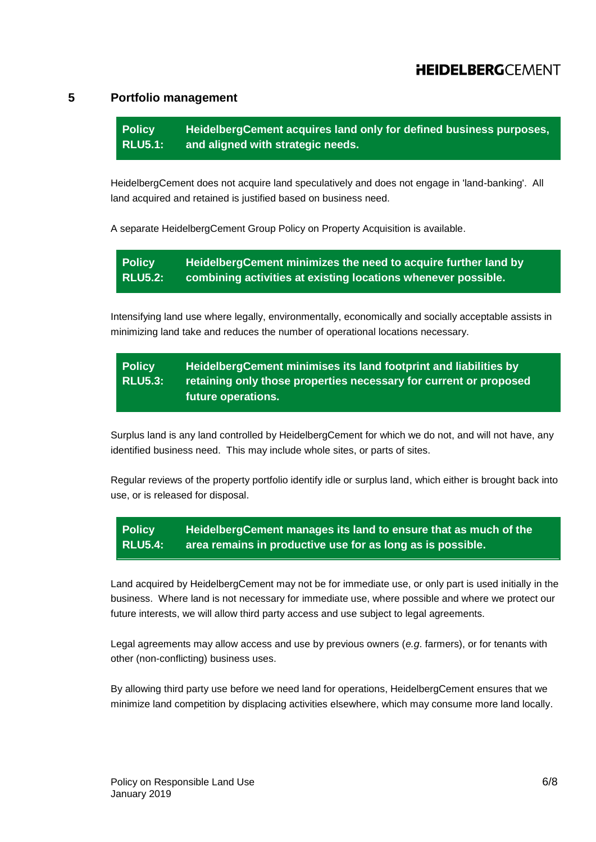### <span id="page-5-0"></span>**5 Portfolio management**

**Policy RLU5.1: HeidelbergCement acquires land only for defined business purposes, and aligned with strategic needs.**

HeidelbergCement does not acquire land speculatively and does not engage in 'land-banking'. All land acquired and retained is justified based on business need.

A separate HeidelbergCement Group Policy on Property Acquisition is available.

**Policy RLU5.2: HeidelbergCement minimizes the need to acquire further land by combining activities at existing locations whenever possible.**

Intensifying land use where legally, environmentally, economically and socially acceptable assists in minimizing land take and reduces the number of operational locations necessary.

#### **Policy RLU5.3: HeidelbergCement minimises its land footprint and liabilities by retaining only those properties necessary for current or proposed future operations.**

Surplus land is any land controlled by HeidelbergCement for which we do not, and will not have, any identified business need. This may include whole sites, or parts of sites.

Regular reviews of the property portfolio identify idle or surplus land, which either is brought back into use, or is released for disposal.

**Policy RLU5.4: HeidelbergCement manages its land to ensure that as much of the area remains in productive use for as long as is possible.**

Land acquired by HeidelbergCement may not be for immediate use, or only part is used initially in the business. Where land is not necessary for immediate use, where possible and where we protect our future interests, we will allow third party access and use subject to legal agreements.

Legal agreements may allow access and use by previous owners (*e.g*. farmers), or for tenants with other (non-conflicting) business uses.

By allowing third party use before we need land for operations, HeidelbergCement ensures that we minimize land competition by displacing activities elsewhere, which may consume more land locally.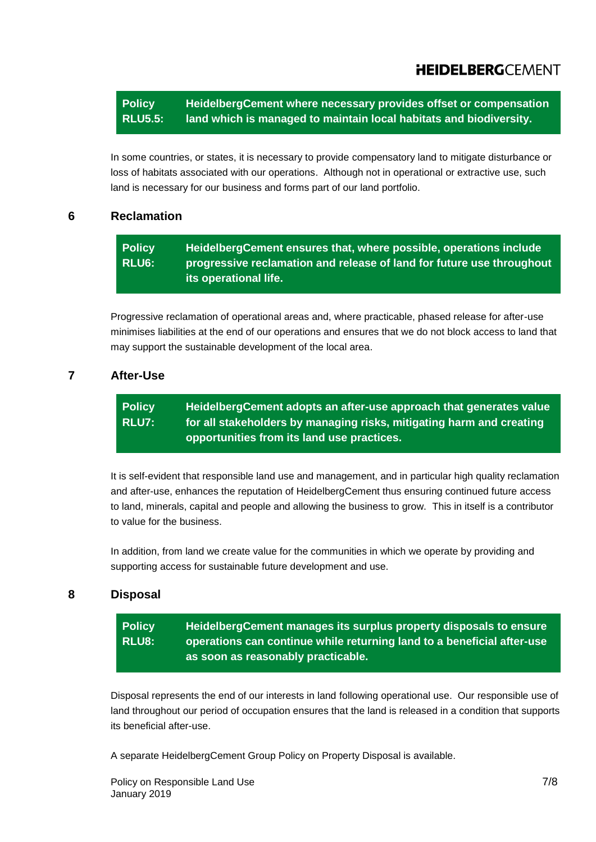**Policy RLU5.5: HeidelbergCement where necessary provides offset or compensation land which is managed to maintain local habitats and biodiversity.**

In some countries, or states, it is necessary to provide compensatory land to mitigate disturbance or loss of habitats associated with our operations. Although not in operational or extractive use, such land is necessary for our business and forms part of our land portfolio.

## <span id="page-6-0"></span>**6 Reclamation**

**Policy RLU6: HeidelbergCement ensures that, where possible, operations include progressive reclamation and release of land for future use throughout its operational life.**

Progressive reclamation of operational areas and, where practicable, phased release for after-use minimises liabilities at the end of our operations and ensures that we do not block access to land that may support the sustainable development of the local area.

## <span id="page-6-1"></span>**7 After-Use**

**Policy RLU7: HeidelbergCement adopts an after-use approach that generates value for all stakeholders by managing risks, mitigating harm and creating opportunities from its land use practices.**

It is self-evident that responsible land use and management, and in particular high quality reclamation and after-use, enhances the reputation of HeidelbergCement thus ensuring continued future access to land, minerals, capital and people and allowing the business to grow. This in itself is a contributor to value for the business.

In addition, from land we create value for the communities in which we operate by providing and supporting access for sustainable future development and use.

## <span id="page-6-2"></span>**8 Disposal**

**Policy RLU8: HeidelbergCement manages its surplus property disposals to ensure operations can continue while returning land to a beneficial after-use as soon as reasonably practicable.**

Disposal represents the end of our interests in land following operational use. Our responsible use of land throughout our period of occupation ensures that the land is released in a condition that supports its beneficial after-use.

A separate HeidelbergCement Group Policy on Property Disposal is available.

Policy on Responsible Land Use 7/8 January 2019